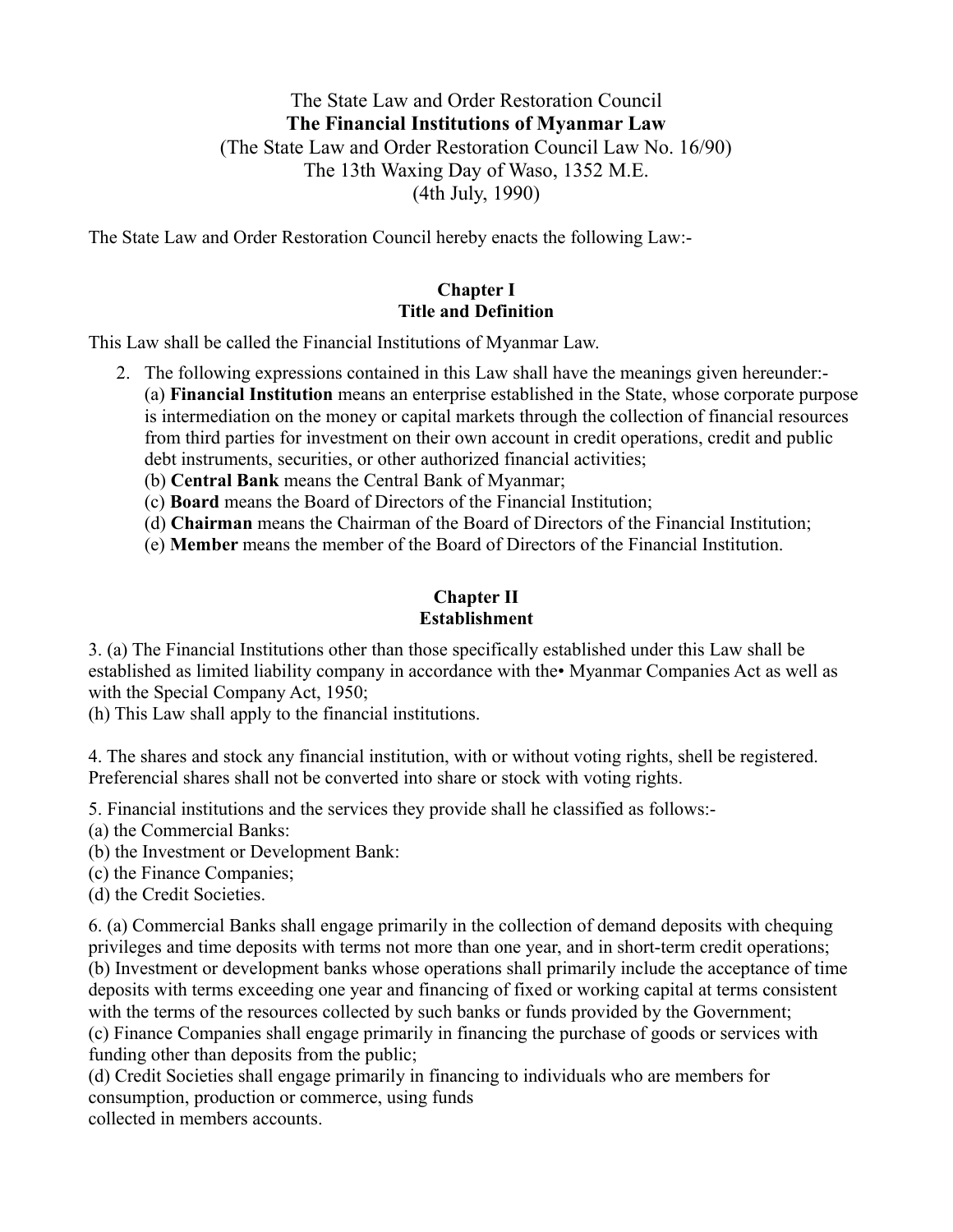# The State Law and Order Restoration Council **The Financial Institutions of Myanmar Law** (The State Law and Order Restoration Council Law No. 16/90) The 13th Waxing Day of Waso, 1352 M.E. (4th July, 1990)

The State Law and Order Restoration Council hereby enacts the following Law:-

#### **Chapter I Title and Definition**

This Law shall be called the Financial Institutions of Myanmar Law.

- 2. The following expressions contained in this Law shall have the meanings given hereunder:- (a) **Financial Institution** means an enterprise established in the State, whose corporate purpose is intermediation on the money or capital markets through the collection of financial resources from third parties for investment on their own account in credit operations, credit and public debt instruments, securities, or other authorized financial activities;
	- (b) **Central Bank** means the Central Bank of Myanmar;
	- (c) **Board** means the Board of Directors of the Financial Institution;
	- (d) **Chairman** means the Chairman of the Board of Directors of the Financial Institution;
	- (e) **Member** means the member of the Board of Directors of the Financial Institution.

#### **Chapter II Establishment**

3. (a) The Financial Institutions other than those specifically established under this Law shall be established as limited liability company in accordance with the• Myanmar Companies Act as well as with the Special Company Act, 1950;

(h) This Law shall apply to the financial institutions.

4. The shares and stock any financial institution, with or without voting rights, shell be registered. Preferencial shares shall not be converted into share or stock with voting rights.

5. Financial institutions and the services they provide shall he classified as follows:-

- (a) the Commercial Banks:
- (b) the Investment or Development Bank:
- (c) the Finance Companies;
- (d) the Credit Societies.

6. (a) Commercial Banks shall engage primarily in the collection of demand deposits with chequing privileges and time deposits with terms not more than one year, and in short-term credit operations; (b) Investment or development banks whose operations shall primarily include the acceptance of time deposits with terms exceeding one year and financing of fixed or working capital at terms consistent with the terms of the resources collected by such banks or funds provided by the Government; (c) Finance Companies shall engage primarily in financing the purchase of goods or services with

funding other than deposits from the public;

(d) Credit Societies shall engage primarily in financing to individuals who are members for consumption, production or commerce, using funds

collected in members accounts.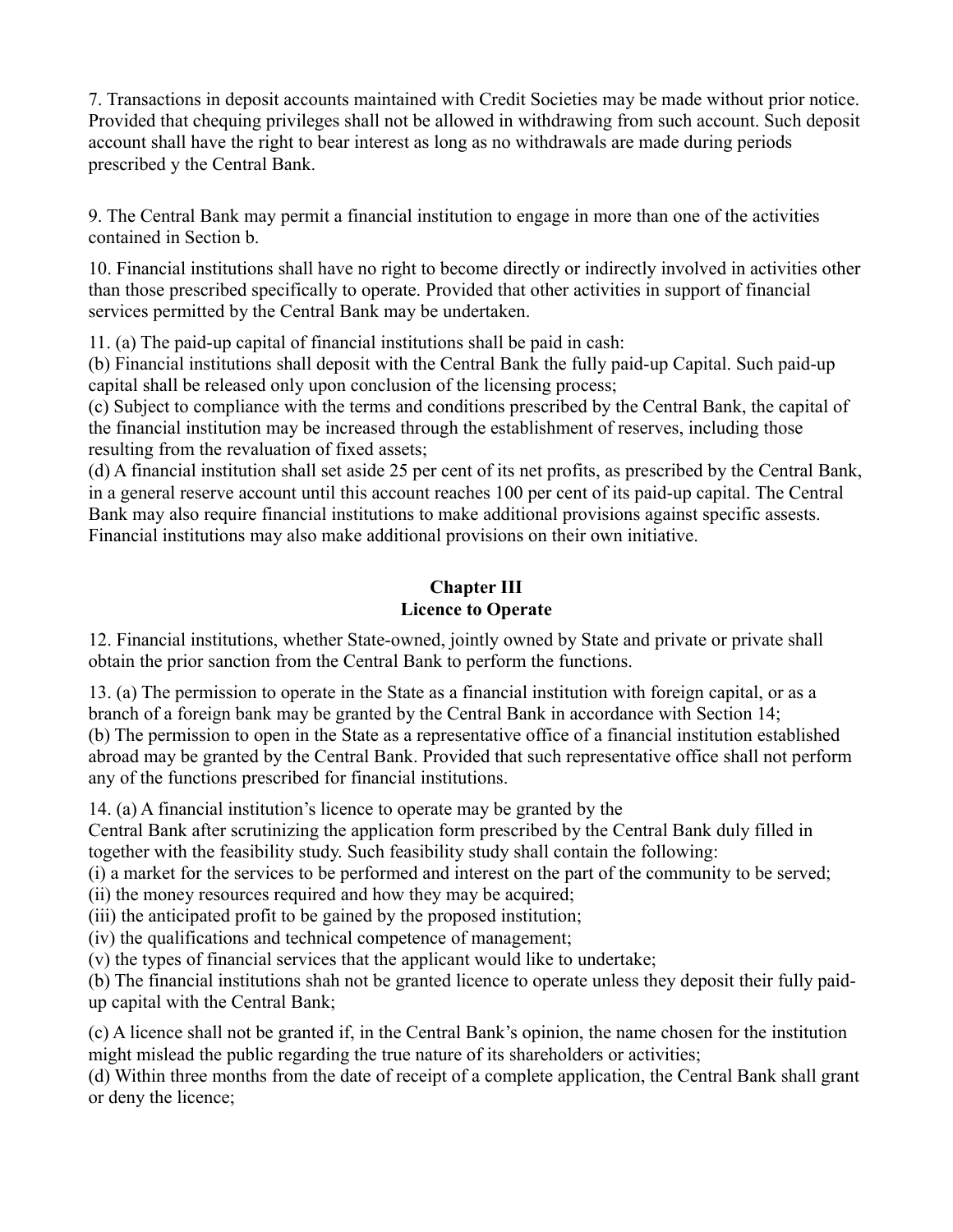7. Transactions in deposit accounts maintained with Credit Societies may be made without prior notice. Provided that chequing privileges shall not be allowed in withdrawing from such account. Such deposit account shall have the right to bear interest as long as no withdrawals are made during periods prescribed y the Central Bank.

9. The Central Bank may permit a financial institution to engage in more than one of the activities contained in Section b.

10. Financial institutions shall have no right to become directly or indirectly involved in activities other than those prescribed specifically to operate. Provided that other activities in support of financial services permitted by the Central Bank may be undertaken.

11. (a) The paid-up capital of financial institutions shall be paid in cash:

(b) Financial institutions shall deposit with the Central Bank the fully paid-up Capital. Such paid-up capital shall be released only upon conclusion of the licensing process;

(c) Subject to compliance with the terms and conditions prescribed by the Central Bank, the capital of the financial institution may be increased through the establishment of reserves, including those resulting from the revaluation of fixed assets;

(d) A financial institution shall set aside 25 per cent of its net profits, as prescribed by the Central Bank, in a general reserve account until this account reaches 100 per cent of its paid-up capital. The Central Bank may also require financial institutions to make additional provisions against specific assests. Financial institutions may also make additional provisions on their own initiative.

## **Chapter III Licence to Operate**

12. Financial institutions, whether State-owned, jointly owned by State and private or private shall obtain the prior sanction from the Central Bank to perform the functions.

13. (a) The permission to operate in the State as a financial institution with foreign capital, or as a branch of a foreign bank may be granted by the Central Bank in accordance with Section 14; (b) The permission to open in the State as a representative office of a financial institution established abroad may be granted by the Central Bank. Provided that such representative office shall not perform any of the functions prescribed for financial institutions.

14. (a) A financial institution's licence to operate may be granted by the

Central Bank after scrutinizing the application form prescribed by the Central Bank duly filled in together with the feasibility study. Such feasibility study shall contain the following:

(i) a market for the services to be performed and interest on the part of the community to be served; (ii) the money resources required and how they may be acquired;

(iii) the anticipated profit to be gained by the proposed institution;

(iv) the qualifications and technical competence of management;

(v) the types of financial services that the applicant would like to undertake;

(b) The financial institutions shah not be granted licence to operate unless they deposit their fully paidup capital with the Central Bank;

(c) A licence shall not be granted if, in the Central Bank's opinion, the name chosen for the institution might mislead the public regarding the true nature of its shareholders or activities;

(d) Within three months from the date of receipt of a complete application, the Central Bank shall grant or deny the licence;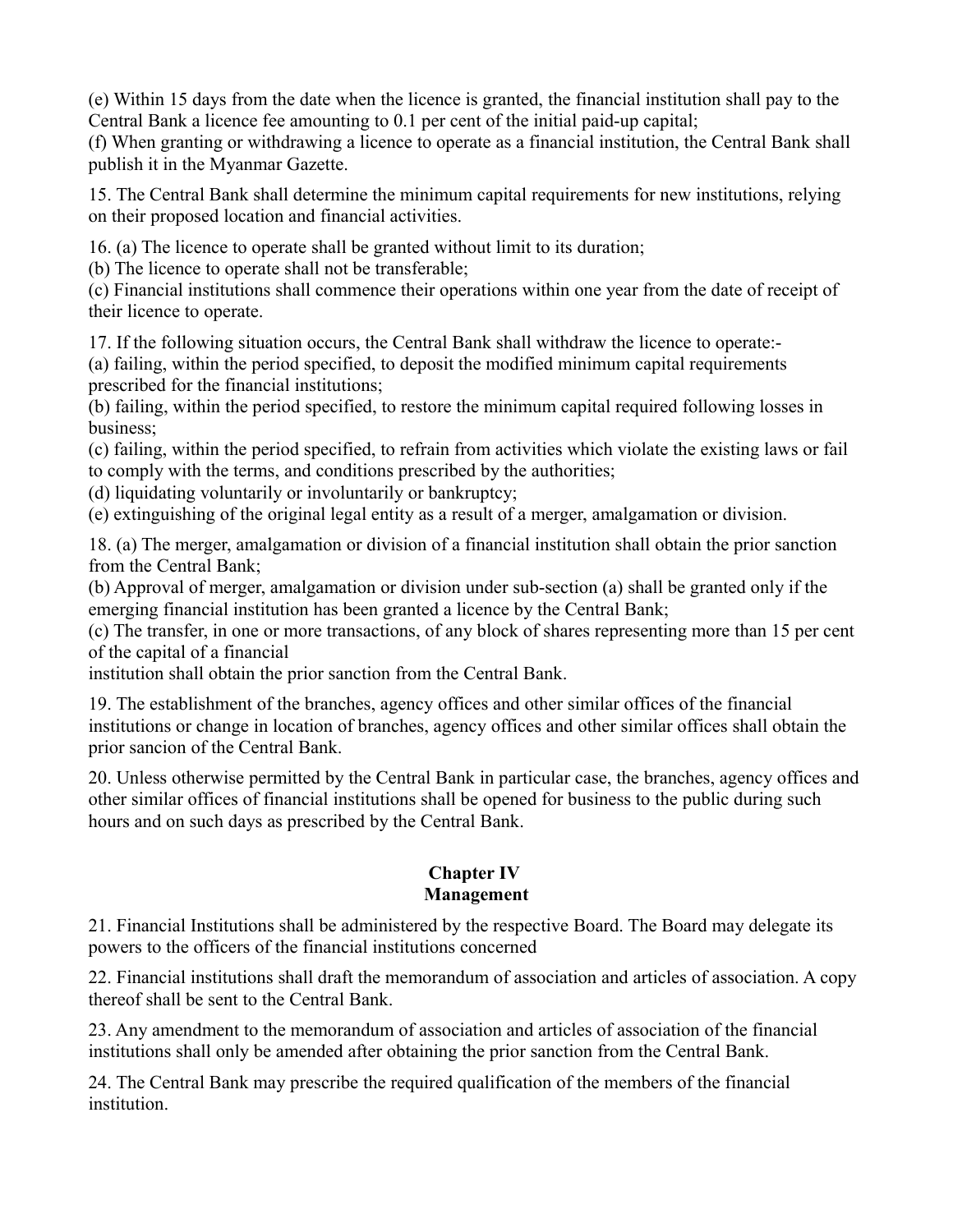(e) Within 15 days from the date when the licence is granted, the financial institution shall pay to the Central Bank a licence fee amounting to 0.1 per cent of the initial paid-up capital;

(f) When granting or withdrawing a licence to operate as a financial institution, the Central Bank shall publish it in the Myanmar Gazette.

15. The Central Bank shall determine the minimum capital requirements for new institutions, relying on their proposed location and financial activities.

16. (a) The licence to operate shall be granted without limit to its duration;

(b) The licence to operate shall not be transferable;

(c) Financial institutions shall commence their operations within one year from the date of receipt of their licence to operate.

17. If the following situation occurs, the Central Bank shall withdraw the licence to operate:-

(a) failing, within the period specified, to deposit the modified minimum capital requirements prescribed for the financial institutions;

(b) failing, within the period specified, to restore the minimum capital required following losses in business;

(c) failing, within the period specified, to refrain from activities which violate the existing laws or fail to comply with the terms, and conditions prescribed by the authorities;

(d) liquidating voluntarily or involuntarily or bankruptcy;

(e) extinguishing of the original legal entity as a result of a merger, amalgamation or division.

18. (a) The merger, amalgamation or division of a financial institution shall obtain the prior sanction from the Central Bank;

(b) Approval of merger, amalgamation or division under sub-section (a) shall be granted only if the emerging financial institution has been granted a licence by the Central Bank;

(c) The transfer, in one or more transactions, of any block of shares representing more than 15 per cent of the capital of a financial

institution shall obtain the prior sanction from the Central Bank.

19. The establishment of the branches, agency offices and other similar offices of the financial institutions or change in location of branches, agency offices and other similar offices shall obtain the prior sancion of the Central Bank.

20. Unless otherwise permitted by the Central Bank in particular case, the branches, agency offices and other similar offices of financial institutions shall be opened for business to the public during such hours and on such days as prescribed by the Central Bank.

## **Chapter IV Management**

21. Financial Institutions shall be administered by the respective Board. The Board may delegate its powers to the officers of the financial institutions concerned

22. Financial institutions shall draft the memorandum of association and articles of association. A copy thereof shall be sent to the Central Bank.

23. Any amendment to the memorandum of association and articles of association of the financial institutions shall only be amended after obtaining the prior sanction from the Central Bank.

24. The Central Bank may prescribe the required qualification of the members of the financial institution.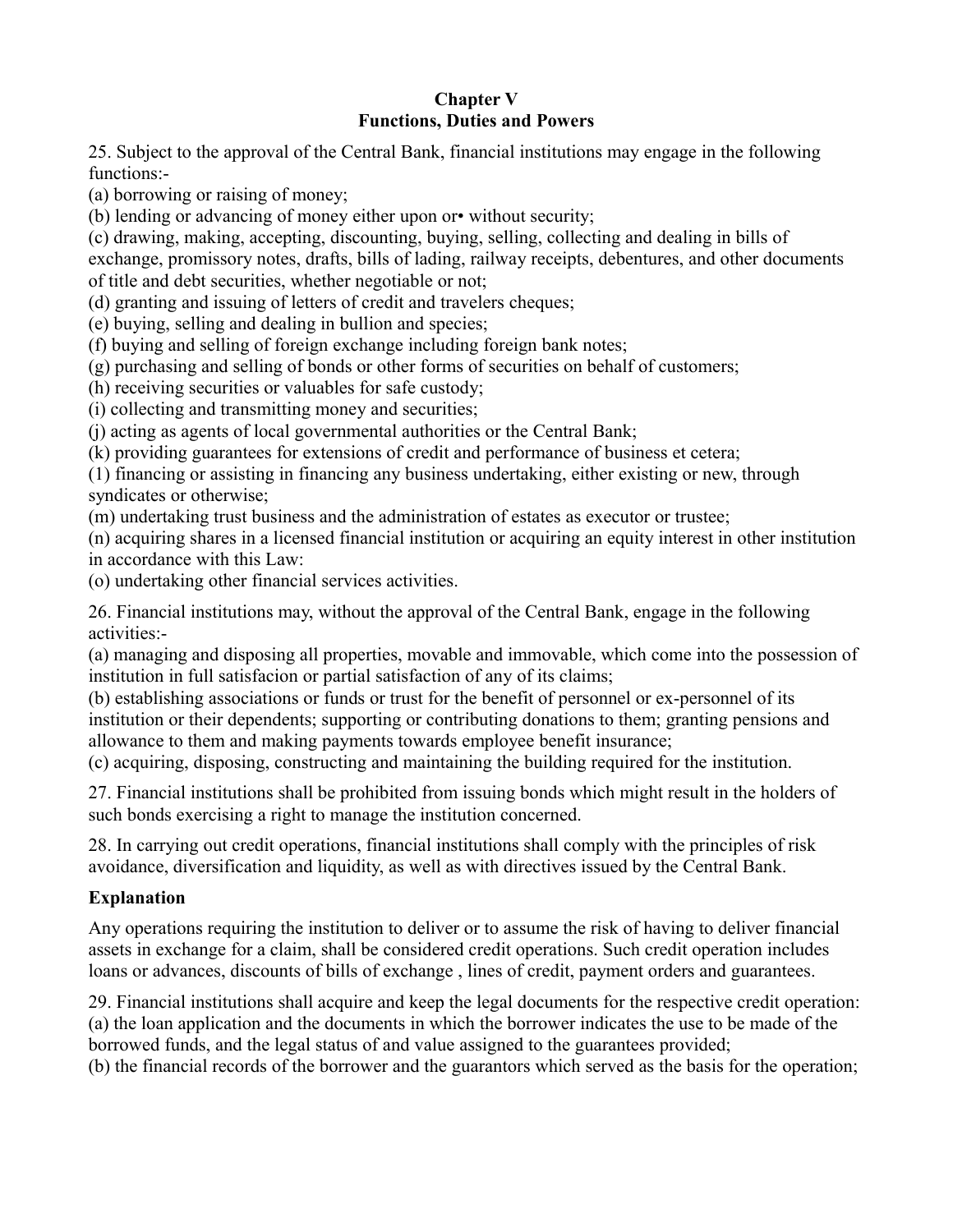### **Chapter V Functions, Duties and Powers**

25. Subject to the approval of the Central Bank, financial institutions may engage in the following functions:-

(a) borrowing or raising of money;

(b) lending or advancing of money either upon or• without security;

(c) drawing, making, accepting, discounting, buying, selling, collecting and dealing in bills of exchange, promissory notes, drafts, bills of lading, railway receipts, debentures, and other documents of title and debt securities, whether negotiable or not;

(d) granting and issuing of letters of credit and travelers cheques;

(e) buying, selling and dealing in bullion and species;

(f) buying and selling of foreign exchange including foreign bank notes;

(g) purchasing and selling of bonds or other forms of securities on behalf of customers;

(h) receiving securities or valuables for safe custody;

(i) collecting and transmitting money and securities;

(j) acting as agents of local governmental authorities or the Central Bank;

(k) providing guarantees for extensions of credit and performance of business et cetera;

(1) financing or assisting in financing any business undertaking, either existing or new, through syndicates or otherwise;

(m) undertaking trust business and the administration of estates as executor or trustee;

(n) acquiring shares in a licensed financial institution or acquiring an equity interest in other institution in accordance with this Law:

(o) undertaking other financial services activities.

26. Financial institutions may, without the approval of the Central Bank, engage in the following activities:-

(a) managing and disposing all properties, movable and immovable, which come into the possession of institution in full satisfacion or partial satisfaction of any of its claims;

(b) establishing associations or funds or trust for the benefit of personnel or ex-personnel of its institution or their dependents; supporting or contributing donations to them; granting pensions and allowance to them and making payments towards employee benefit insurance;

(c) acquiring, disposing, constructing and maintaining the building required for the institution.

27. Financial institutions shall be prohibited from issuing bonds which might result in the holders of such bonds exercising a right to manage the institution concerned.

28. In carrying out credit operations, financial institutions shall comply with the principles of risk avoidance, diversification and liquidity, as well as with directives issued by the Central Bank.

## **Explanation**

Any operations requiring the institution to deliver or to assume the risk of having to deliver financial assets in exchange for a claim, shall be considered credit operations. Such credit operation includes loans or advances, discounts of bills of exchange , lines of credit, payment orders and guarantees.

29. Financial institutions shall acquire and keep the legal documents for the respective credit operation: (a) the loan application and the documents in which the borrower indicates the use to be made of the borrowed funds, and the legal status of and value assigned to the guarantees provided;

(b) the financial records of the borrower and the guarantors which served as the basis for the operation;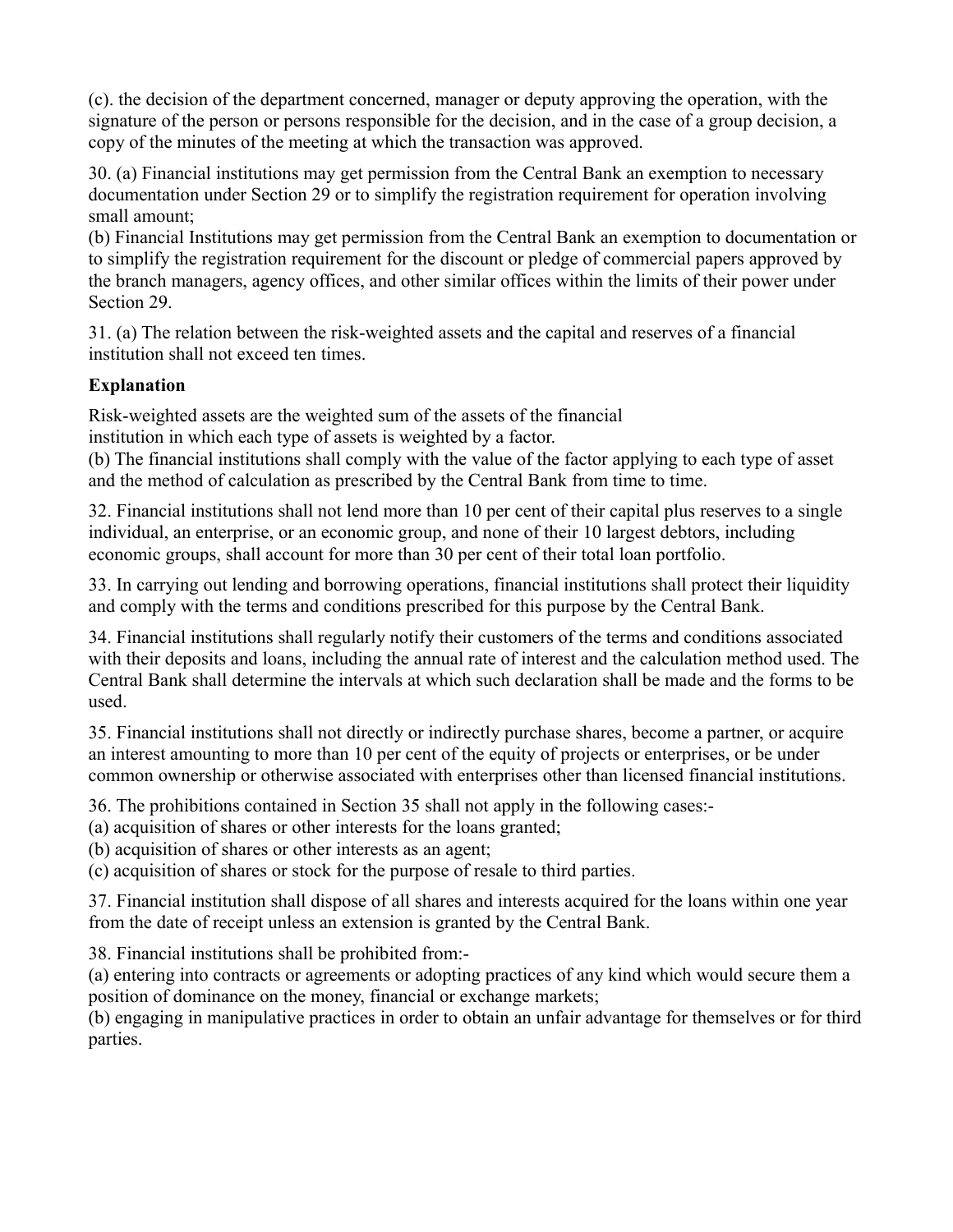(c). the decision of the department concerned, manager or deputy approving the operation, with the signature of the person or persons responsible for the decision, and in the case of a group decision, a copy of the minutes of the meeting at which the transaction was approved.

30. (a) Financial institutions may get permission from the Central Bank an exemption to necessary documentation under Section 29 or to simplify the registration requirement for operation involving small amount;

(b) Financial Institutions may get permission from the Central Bank an exemption to documentation or to simplify the registration requirement for the discount or pledge of commercial papers approved by the branch managers, agency offices, and other similar offices within the limits of their power under Section 29.

31. (a) The relation between the risk-weighted assets and the capital and reserves of a financial institution shall not exceed ten times.

# **Explanation**

Risk-weighted assets are the weighted sum of the assets of the financial

institution in which each type of assets is weighted by a factor.

(b) The financial institutions shall comply with the value of the factor applying to each type of asset and the method of calculation as prescribed by the Central Bank from time to time.

32. Financial institutions shall not lend more than 10 per cent of their capital plus reserves to a single individual, an enterprise, or an economic group, and none of their 10 largest debtors, including economic groups, shall account for more than 30 per cent of their total loan portfolio.

33. In carrying out lending and borrowing operations, financial institutions shall protect their liquidity and comply with the terms and conditions prescribed for this purpose by the Central Bank.

34. Financial institutions shall regularly notify their customers of the terms and conditions associated with their deposits and loans, including the annual rate of interest and the calculation method used. The Central Bank shall determine the intervals at which such declaration shall be made and the forms to be used.

35. Financial institutions shall not directly or indirectly purchase shares, become a partner, or acquire an interest amounting to more than 10 per cent of the equity of projects or enterprises, or be under common ownership or otherwise associated with enterprises other than licensed financial institutions.

36. The prohibitions contained in Section 35 shall not apply in the following cases:-

(a) acquisition of shares or other interests for the loans granted;

(b) acquisition of shares or other interests as an agent;

(c) acquisition of shares or stock for the purpose of resale to third parties.

37. Financial institution shall dispose of all shares and interests acquired for the loans within one year from the date of receipt unless an extension is granted by the Central Bank.

38. Financial institutions shall be prohibited from:-

(a) entering into contracts or agreements or adopting practices of any kind which would secure them a position of dominance on the money, financial or exchange markets;

(b) engaging in manipulative practices in order to obtain an unfair advantage for themselves or for third parties.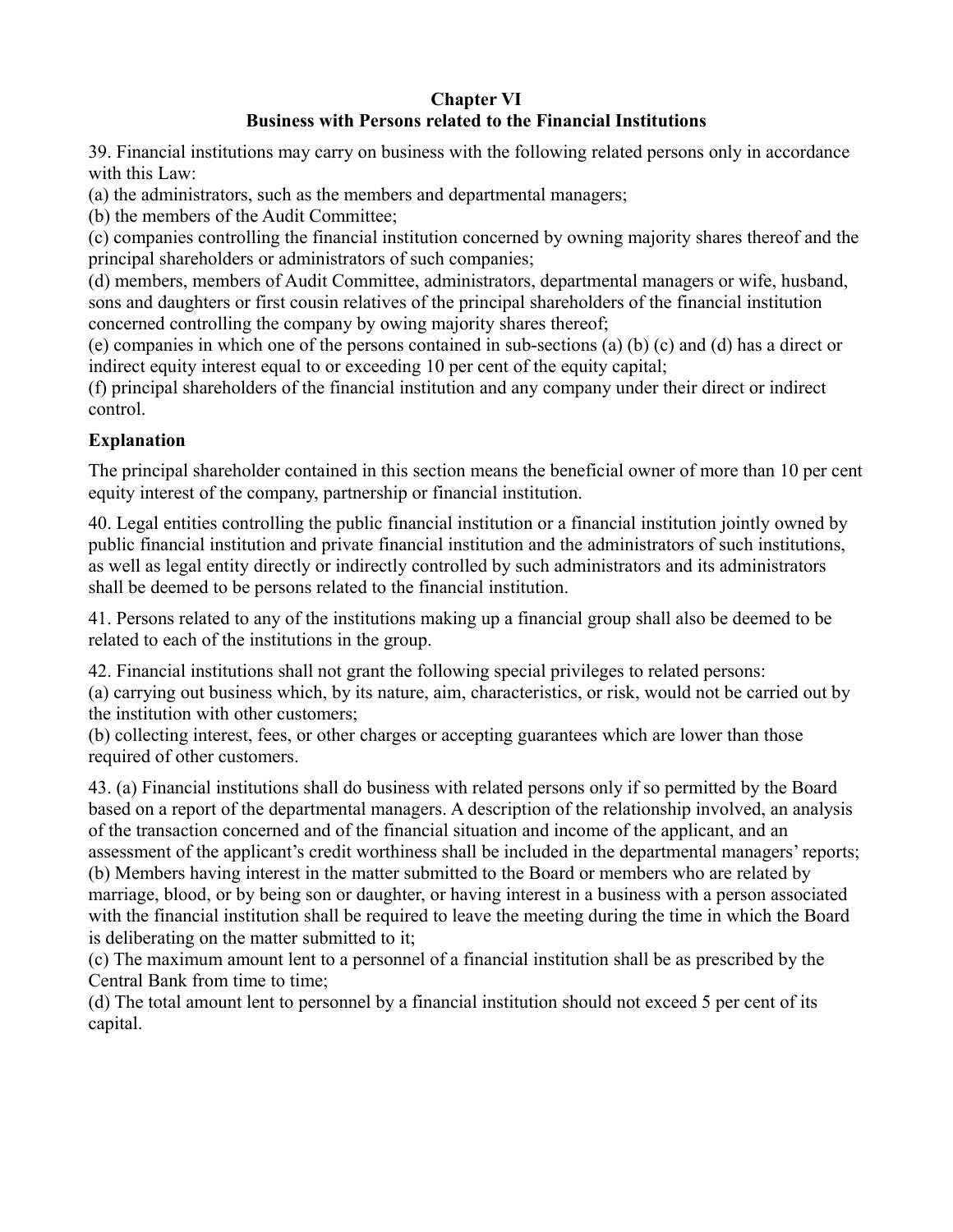#### **Chapter VI Business with Persons related to the Financial Institutions**

39. Financial institutions may carry on business with the following related persons only in accordance with this Law:

(a) the administrators, such as the members and departmental managers;

(b) the members of the Audit Committee;

(c) companies controlling the financial institution concerned by owning majority shares thereof and the principal shareholders or administrators of such companies;

(d) members, members of Audit Committee, administrators, departmental managers or wife, husband, sons and daughters or first cousin relatives of the principal shareholders of the financial institution concerned controlling the company by owing majority shares thereof;

(e) companies in which one of the persons contained in sub-sections (a) (b) (c) and (d) has a direct or indirect equity interest equal to or exceeding 10 per cent of the equity capital;

(f) principal shareholders of the financial institution and any company under their direct or indirect control.

# **Explanation**

The principal shareholder contained in this section means the beneficial owner of more than 10 per cent equity interest of the company, partnership or financial institution.

40. Legal entities controlling the public financial institution or a financial institution jointly owned by public financial institution and private financial institution and the administrators of such institutions, as well as legal entity directly or indirectly controlled by such administrators and its administrators shall be deemed to be persons related to the financial institution.

41. Persons related to any of the institutions making up a financial group shall also be deemed to be related to each of the institutions in the group.

42. Financial institutions shall not grant the following special privileges to related persons:

(a) carrying out business which, by its nature, aim, characteristics, or risk, would not be carried out by the institution with other customers;

(b) collecting interest, fees, or other charges or accepting guarantees which are lower than those required of other customers.

43. (a) Financial institutions shall do business with related persons only if so permitted by the Board based on a report of the departmental managers. A description of the relationship involved, an analysis of the transaction concerned and of the financial situation and income of the applicant, and an assessment of the applicant's credit worthiness shall be included in the departmental managers' reports; (b) Members having interest in the matter submitted to the Board or members who are related by marriage, blood, or by being son or daughter, or having interest in a business with a person associated with the financial institution shall be required to leave the meeting during the time in which the Board is deliberating on the matter submitted to it;

(c) The maximum amount lent to a personnel of a financial institution shall be as prescribed by the Central Bank from time to time;

(d) The total amount lent to personnel by a financial institution should not exceed 5 per cent of its capital.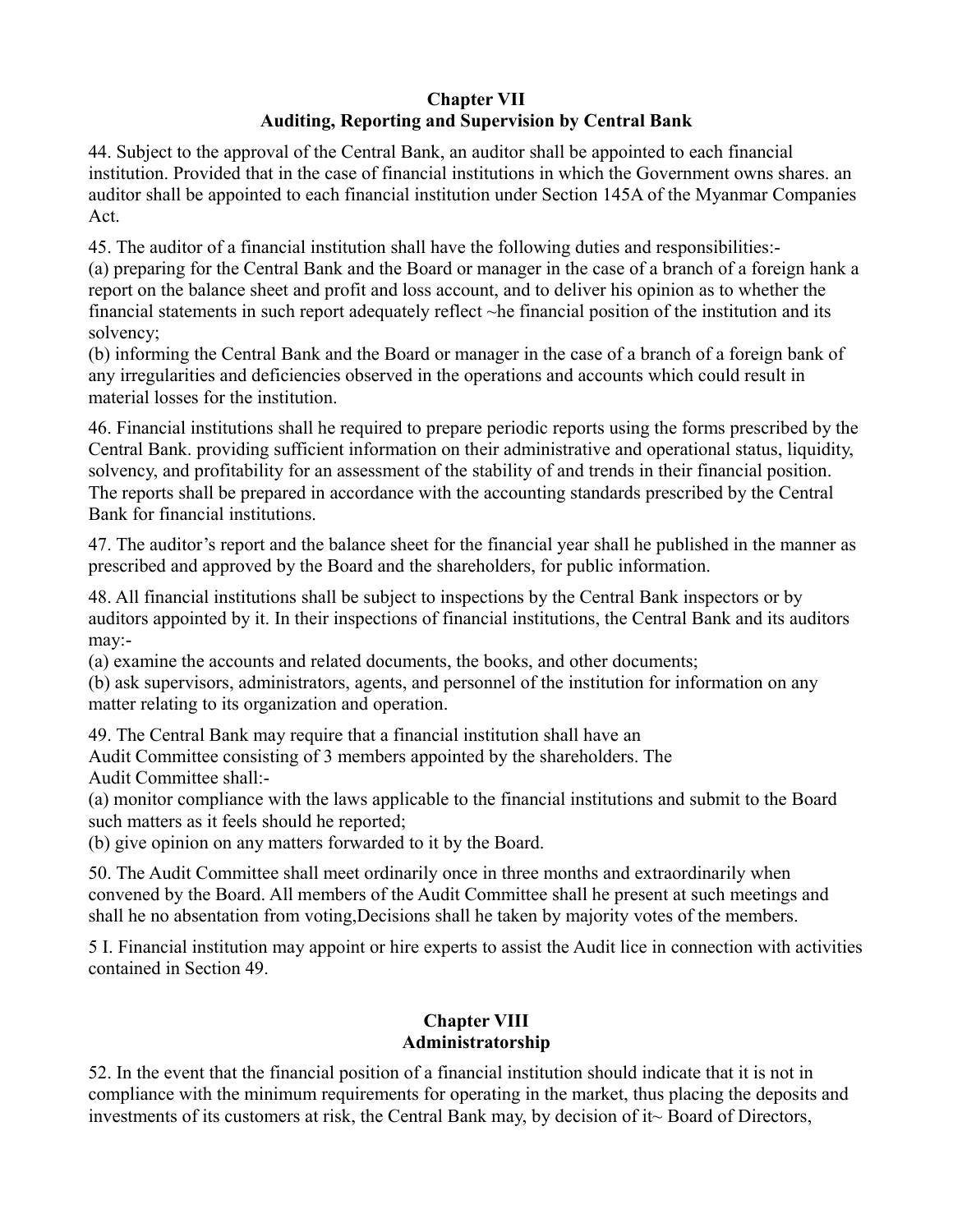### **Chapter VII Auditing, Reporting and Supervision by Central Bank**

44. Subject to the approval of the Central Bank, an auditor shall be appointed to each financial institution. Provided that in the case of financial institutions in which the Government owns shares. an auditor shall be appointed to each financial institution under Section 145A of the Myanmar Companies Act.

45. The auditor of a financial institution shall have the following duties and responsibilities:-

(a) preparing for the Central Bank and the Board or manager in the case of a branch of a foreign hank a report on the balance sheet and profit and loss account, and to deliver his opinion as to whether the financial statements in such report adequately reflect ~he financial position of the institution and its solvency;

(b) informing the Central Bank and the Board or manager in the case of a branch of a foreign bank of any irregularities and deficiencies observed in the operations and accounts which could result in material losses for the institution.

46. Financial institutions shall he required to prepare periodic reports using the forms prescribed by the Central Bank. providing sufficient information on their administrative and operational status, liquidity, solvency, and profitability for an assessment of the stability of and trends in their financial position. The reports shall be prepared in accordance with the accounting standards prescribed by the Central Bank for financial institutions.

47. The auditor's report and the balance sheet for the financial year shall he published in the manner as prescribed and approved by the Board and the shareholders, for public information.

48. All financial institutions shall be subject to inspections by the Central Bank inspectors or by auditors appointed by it. In their inspections of financial institutions, the Central Bank and its auditors may:-

(a) examine the accounts and related documents, the books, and other documents;

(b) ask supervisors, administrators, agents, and personnel of the institution for information on any matter relating to its organization and operation.

49. The Central Bank may require that a financial institution shall have an

Audit Committee consisting of 3 members appointed by the shareholders. The Audit Committee shall:-

(a) monitor compliance with the laws applicable to the financial institutions and submit to the Board such matters as it feels should he reported;

(b) give opinion on any matters forwarded to it by the Board.

50. The Audit Committee shall meet ordinarily once in three months and extraordinarily when convened by the Board. All members of the Audit Committee shall he present at such meetings and shall he no absentation from voting,Decisions shall he taken by majority votes of the members.

5 I. Financial institution may appoint or hire experts to assist the Audit lice in connection with activities contained in Section 49.

## **Chapter VIII Administratorship**

52. In the event that the financial position of a financial institution should indicate that it is not in compliance with the minimum requirements for operating in the market, thus placing the deposits and investments of its customers at risk, the Central Bank may, by decision of it~ Board of Directors,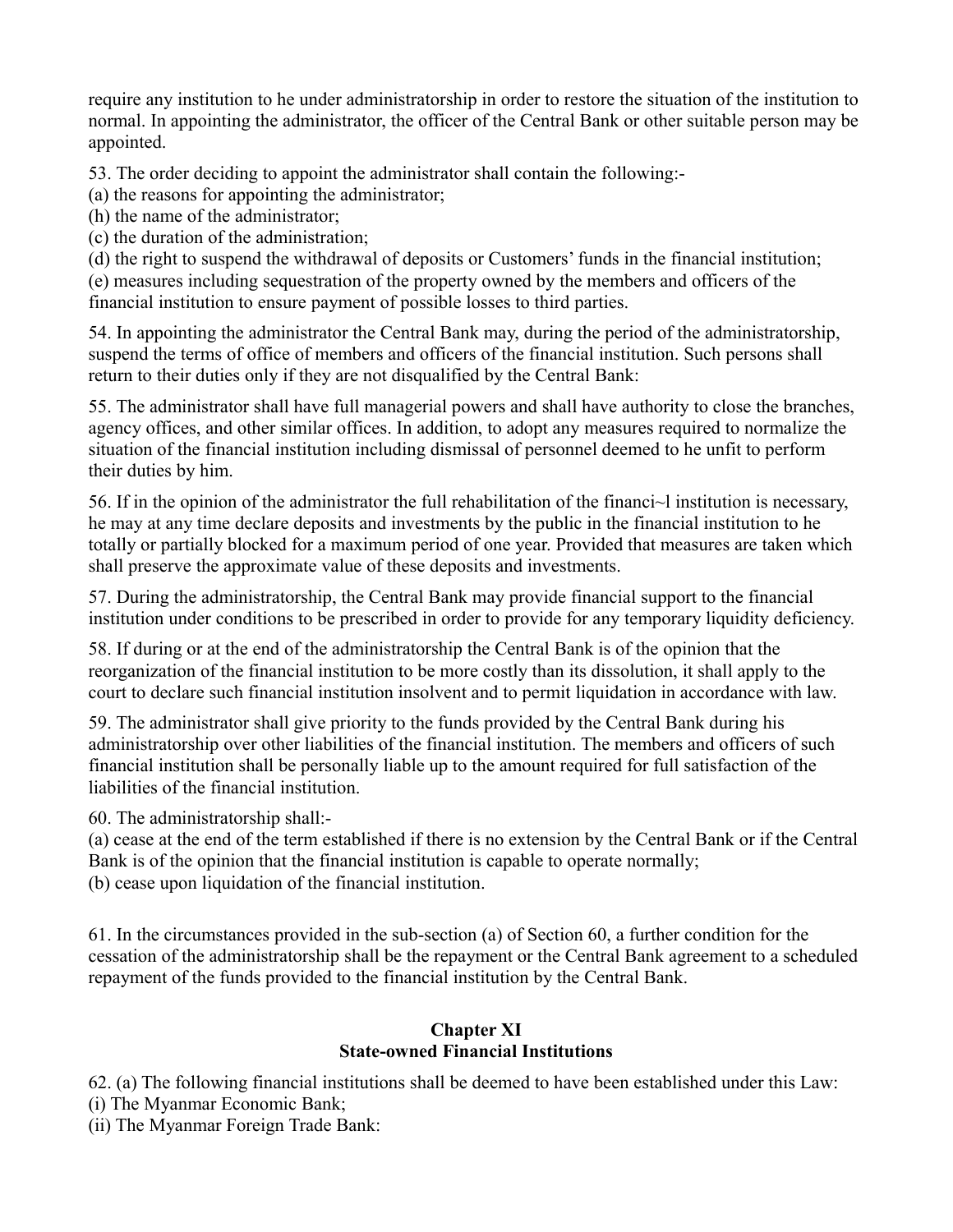require any institution to he under administratorship in order to restore the situation of the institution to normal. In appointing the administrator, the officer of the Central Bank or other suitable person may be appointed.

53. The order deciding to appoint the administrator shall contain the following:-

(a) the reasons for appointing the administrator;

(h) the name of the administrator;

(c) the duration of the administration;

(d) the right to suspend the withdrawal of deposits or Customers' funds in the financial institution; (e) measures including sequestration of the property owned by the members and officers of the financial institution to ensure payment of possible losses to third parties.

54. In appointing the administrator the Central Bank may, during the period of the administratorship, suspend the terms of office of members and officers of the financial institution. Such persons shall return to their duties only if they are not disqualified by the Central Bank:

55. The administrator shall have full managerial powers and shall have authority to close the branches, agency offices, and other similar offices. In addition, to adopt any measures required to normalize the situation of the financial institution including dismissal of personnel deemed to he unfit to perform their duties by him.

56. If in the opinion of the administrator the full rehabilitation of the financi~l institution is necessary, he may at any time declare deposits and investments by the public in the financial institution to he totally or partially blocked for a maximum period of one year. Provided that measures are taken which shall preserve the approximate value of these deposits and investments.

57. During the administratorship, the Central Bank may provide financial support to the financial institution under conditions to be prescribed in order to provide for any temporary liquidity deficiency.

58. If during or at the end of the administratorship the Central Bank is of the opinion that the reorganization of the financial institution to be more costly than its dissolution, it shall apply to the court to declare such financial institution insolvent and to permit liquidation in accordance with law.

59. The administrator shall give priority to the funds provided by the Central Bank during his administratorship over other liabilities of the financial institution. The members and officers of such financial institution shall be personally liable up to the amount required for full satisfaction of the liabilities of the financial institution.

60. The administratorship shall:-

(a) cease at the end of the term established if there is no extension by the Central Bank or if the Central Bank is of the opinion that the financial institution is capable to operate normally; (b) cease upon liquidation of the financial institution.

61. In the circumstances provided in the sub-section (a) of Section 60, a further condition for the cessation of the administratorship shall be the repayment or the Central Bank agreement to a scheduled repayment of the funds provided to the financial institution by the Central Bank.

#### **Chapter XI State-owned Financial Institutions**

62. (a) The following financial institutions shall be deemed to have been established under this Law: (i) The Myanmar Economic Bank;

(ii) The Myanmar Foreign Trade Bank: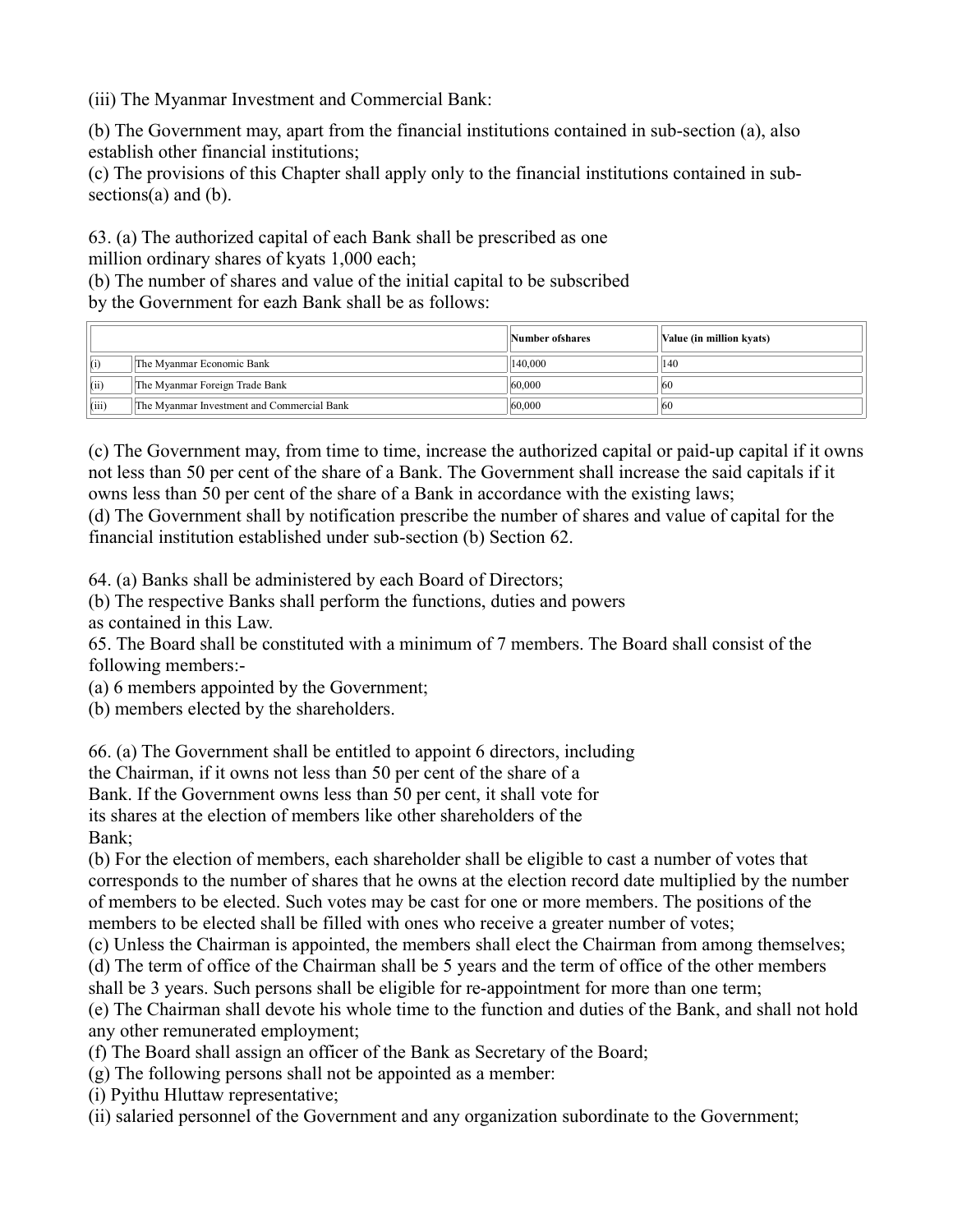(iii) The Myanmar Investment and Commercial Bank:

(b) The Government may, apart from the financial institutions contained in sub-section (a), also establish other financial institutions;

(c) The provisions of this Chapter shall apply only to the financial institutions contained in subsections(a) and (b).

63. (a) The authorized capital of each Bank shall be prescribed as one million ordinary shares of kyats 1,000 each;

(b) The number of shares and value of the initial capital to be subscribed by the Government for eazh Bank shall be as follows:

|       |                                            | Number of shares | Value (in million kyats) |
|-------|--------------------------------------------|------------------|--------------------------|
|       | The Myanmar Economic Bank                  | 140,000          | 140                      |
| (ii)  | The Myanmar Foreign Trade Bank             | 60,000           | <b>60</b>                |
| (iii) | The Myanmar Investment and Commercial Bank | 60,000           | <b>60</b>                |

(c) The Government may, from time to time, increase the authorized capital or paid-up capital if it owns not less than 50 per cent of the share of a Bank. The Government shall increase the said capitals if it owns less than 50 per cent of the share of a Bank in accordance with the existing laws;

(d) The Government shall by notification prescribe the number of shares and value of capital for the financial institution established under sub-section (b) Section 62.

64. (a) Banks shall be administered by each Board of Directors;

(b) The respective Banks shall perform the functions, duties and powers as contained in this Law.

65. The Board shall be constituted with a minimum of 7 members. The Board shall consist of the following members:-

(a) 6 members appointed by the Government;

(b) members elected by the shareholders.

66. (a) The Government shall be entitled to appoint 6 directors, including

the Chairman, if it owns not less than 50 per cent of the share of a

Bank. If the Government owns less than 50 per cent, it shall vote for

its shares at the election of members like other shareholders of the Bank;

(b) For the election of members, each shareholder shall be eligible to cast a number of votes that corresponds to the number of shares that he owns at the election record date multiplied by the number of members to be elected. Such votes may be cast for one or more members. The positions of the members to be elected shall be filled with ones who receive a greater number of votes;

(c) Unless the Chairman is appointed, the members shall elect the Chairman from among themselves;

(d) The term of office of the Chairman shall be 5 years and the term of office of the other members

shall be 3 years. Such persons shall be eligible for re-appointment for more than one term;

(e) The Chairman shall devote his whole time to the function and duties of the Bank, and shall not hold any other remunerated employment;

- (f) The Board shall assign an officer of the Bank as Secretary of the Board;
- (g) The following persons shall not be appointed as a member:

(i) Pyithu Hluttaw representative;

(ii) salaried personnel of the Government and any organization subordinate to the Government;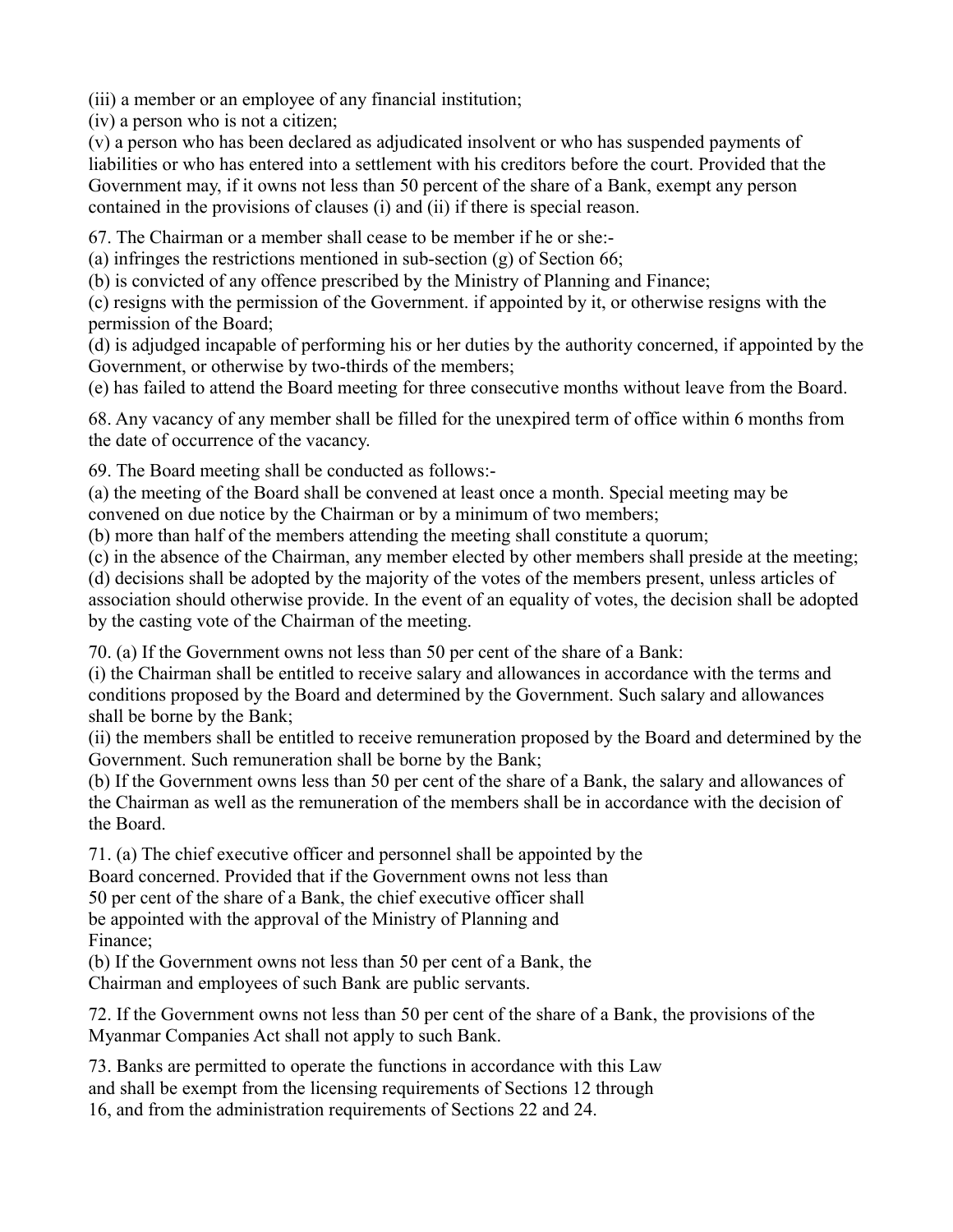(iii) a member or an employee of any financial institution;

(iv) a person who is not a citizen;

(v) a person who has been declared as adjudicated insolvent or who has suspended payments of liabilities or who has entered into a settlement with his creditors before the court. Provided that the Government may, if it owns not less than 50 percent of the share of a Bank, exempt any person contained in the provisions of clauses (i) and (ii) if there is special reason.

67. The Chairman or a member shall cease to be member if he or she:-

(a) infringes the restrictions mentioned in sub-section (g) of Section 66;

(b) is convicted of any offence prescribed by the Ministry of Planning and Finance;

(c) resigns with the permission of the Government. if appointed by it, or otherwise resigns with the permission of the Board;

(d) is adjudged incapable of performing his or her duties by the authority concerned, if appointed by the Government, or otherwise by two-thirds of the members;

(e) has failed to attend the Board meeting for three consecutive months without leave from the Board.

68. Any vacancy of any member shall be filled for the unexpired term of office within 6 months from the date of occurrence of the vacancy.

69. The Board meeting shall be conducted as follows:-

(a) the meeting of the Board shall be convened at least once a month. Special meeting may be convened on due notice by the Chairman or by a minimum of two members;

(b) more than half of the members attending the meeting shall constitute a quorum;

(c) in the absence of the Chairman, any member elected by other members shall preside at the meeting;

(d) decisions shall be adopted by the majority of the votes of the members present, unless articles of association should otherwise provide. In the event of an equality of votes, the decision shall be adopted by the casting vote of the Chairman of the meeting.

70. (a) If the Government owns not less than 50 per cent of the share of a Bank:

(i) the Chairman shall be entitled to receive salary and allowances in accordance with the terms and conditions proposed by the Board and determined by the Government. Such salary and allowances shall be borne by the Bank;

(ii) the members shall be entitled to receive remuneration proposed by the Board and determined by the Government. Such remuneration shall be borne by the Bank;

(b) If the Government owns less than 50 per cent of the share of a Bank, the salary and allowances of the Chairman as well as the remuneration of the members shall be in accordance with the decision of the Board.

71. (a) The chief executive officer and personnel shall be appointed by the Board concerned. Provided that if the Government owns not less than 50 per cent of the share of a Bank, the chief executive officer shall be appointed with the approval of the Ministry of Planning and Finance;

(b) If the Government owns not less than 50 per cent of a Bank, the Chairman and employees of such Bank are public servants.

72. If the Government owns not less than 50 per cent of the share of a Bank, the provisions of the Myanmar Companies Act shall not apply to such Bank.

73. Banks are permitted to operate the functions in accordance with this Law and shall be exempt from the licensing requirements of Sections 12 through 16, and from the administration requirements of Sections 22 and 24.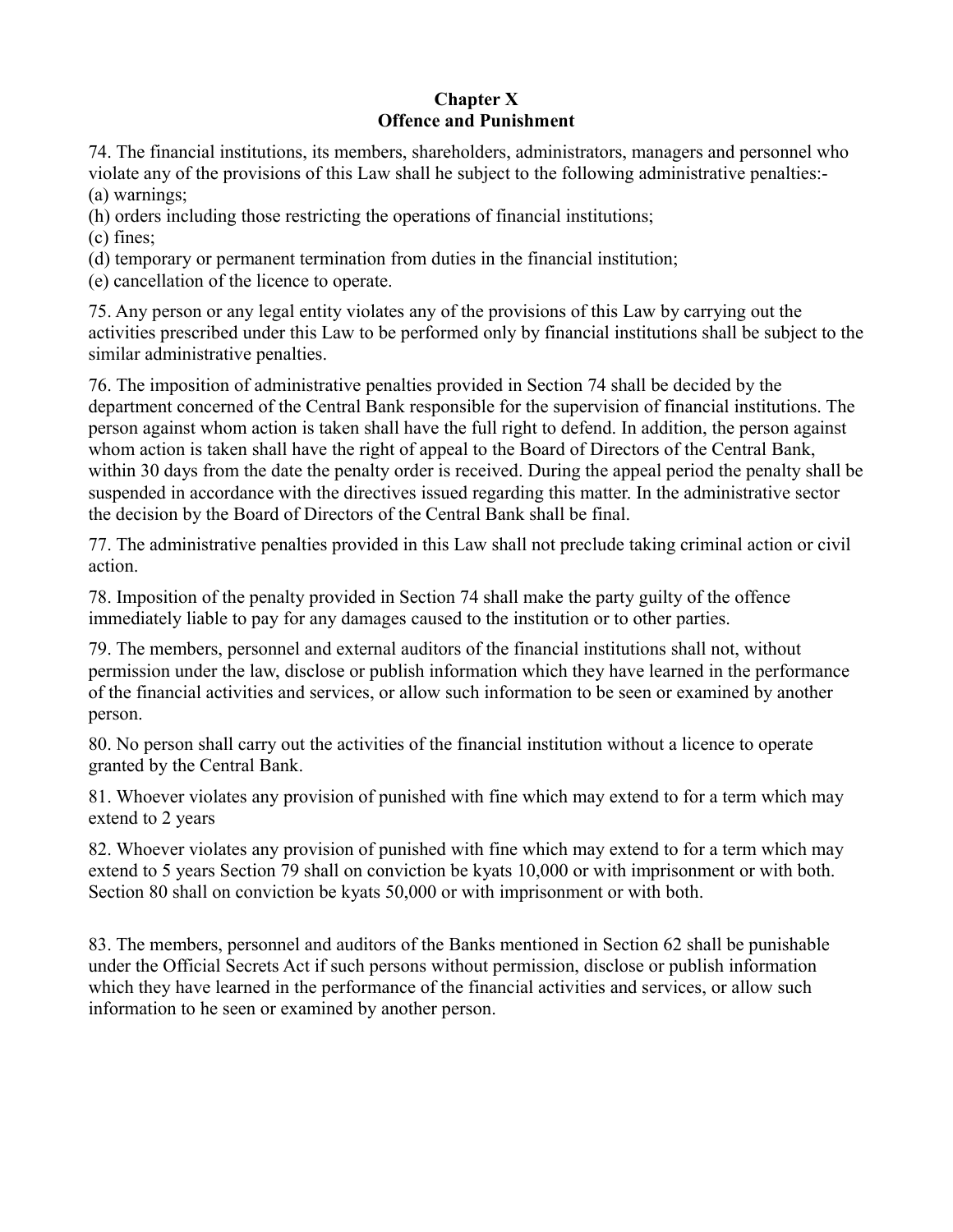### **Chapter X Offence and Punishment**

74. The financial institutions, its members, shareholders, administrators, managers and personnel who violate any of the provisions of this Law shall he subject to the following administrative penalties:- (a) warnings;

(h) orders including those restricting the operations of financial institutions;

(c) fines;

(d) temporary or permanent termination from duties in the financial institution;

(e) cancellation of the licence to operate.

75. Any person or any legal entity violates any of the provisions of this Law by carrying out the activities prescribed under this Law to be performed only by financial institutions shall be subject to the similar administrative penalties.

76. The imposition of administrative penalties provided in Section 74 shall be decided by the department concerned of the Central Bank responsible for the supervision of financial institutions. The person against whom action is taken shall have the full right to defend. In addition, the person against whom action is taken shall have the right of appeal to the Board of Directors of the Central Bank, within 30 days from the date the penalty order is received. During the appeal period the penalty shall be suspended in accordance with the directives issued regarding this matter. In the administrative sector the decision by the Board of Directors of the Central Bank shall be final.

77. The administrative penalties provided in this Law shall not preclude taking criminal action or civil action.

78. Imposition of the penalty provided in Section 74 shall make the party guilty of the offence immediately liable to pay for any damages caused to the institution or to other parties.

79. The members, personnel and external auditors of the financial institutions shall not, without permission under the law, disclose or publish information which they have learned in the performance of the financial activities and services, or allow such information to be seen or examined by another person.

80. No person shall carry out the activities of the financial institution without a licence to operate granted by the Central Bank.

81. Whoever violates any provision of punished with fine which may extend to for a term which may extend to 2 years

82. Whoever violates any provision of punished with fine which may extend to for a term which may extend to 5 years Section 79 shall on conviction be kyats 10,000 or with imprisonment or with both. Section 80 shall on conviction be kyats 50,000 or with imprisonment or with both.

83. The members, personnel and auditors of the Banks mentioned in Section 62 shall be punishable under the Official Secrets Act if such persons without permission, disclose or publish information which they have learned in the performance of the financial activities and services, or allow such information to he seen or examined by another person.